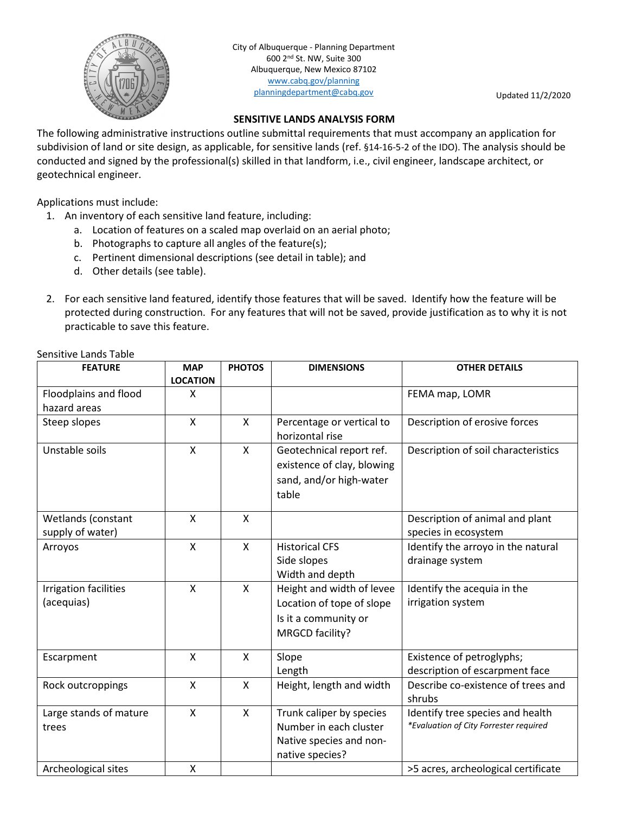

City of Albuquerque - Planning Department 600 2nd St. NW, Suite 300 Albuquerque, New Mexico 87102 [www.cabq.gov/planning](http://www.cabq.gov/planning) [planningdepartment@cabq.gov](mailto:planningdepartment@cabq.gov) Updated 11/2/2020

## **SENSITIVE LANDS ANALYSIS FORM**

The following administrative instructions outline submittal requirements that must accompany an application for subdivision of land or site design, as applicable, for sensitive lands (ref. §14-16-5-2 of the IDO). The analysis should be conducted and signed by the professional(s) skilled in that landform, i.e., civil engineer, landscape architect, or geotechnical engineer.

Applications must include:

- 1. An inventory of each sensitive land feature, including:
	- a. Location of features on a scaled map overlaid on an aerial photo;
	- b. Photographs to capture all angles of the feature(s);
	- c. Pertinent dimensional descriptions (see detail in table); and
	- d. Other details (see table).
- 2. For each sensitive land featured, identify those features that will be saved. Identify how the feature will be protected during construction. For any features that will not be saved, provide justification as to why it is not practicable to save this feature.

| <b>FEATURE</b>                         | <b>MAP</b><br><b>LOCATION</b> | <b>PHOTOS</b> | <b>DIMENSIONS</b>                                                                                 | <b>OTHER DETAILS</b>                                                       |
|----------------------------------------|-------------------------------|---------------|---------------------------------------------------------------------------------------------------|----------------------------------------------------------------------------|
| Floodplains and flood                  | X                             |               |                                                                                                   | FEMA map, LOMR                                                             |
| hazard areas                           |                               |               |                                                                                                   |                                                                            |
| Steep slopes                           | $\mathsf{x}$                  | X             | Percentage or vertical to<br>horizontal rise                                                      | Description of erosive forces                                              |
| Unstable soils                         | X                             | X             | Geotechnical report ref.<br>existence of clay, blowing<br>sand, and/or high-water<br>table        | Description of soil characteristics                                        |
| Wetlands (constant<br>supply of water) | $\mathsf{x}$                  | $\mathsf{x}$  |                                                                                                   | Description of animal and plant<br>species in ecosystem                    |
| Arroyos                                | $\mathsf{x}$                  | $\mathsf{X}$  | <b>Historical CFS</b><br>Side slopes<br>Width and depth                                           | Identify the arroyo in the natural<br>drainage system                      |
| Irrigation facilities<br>(acequias)    | $\mathsf{x}$                  | $\mathsf{x}$  | Height and width of levee<br>Location of tope of slope<br>Is it a community or<br>MRGCD facility? | Identify the acequia in the<br>irrigation system                           |
| Escarpment                             | X                             | $\mathsf{x}$  | Slope<br>Length                                                                                   | Existence of petroglyphs;<br>description of escarpment face                |
| Rock outcroppings                      | $\mathsf{x}$                  | $\mathsf{x}$  | Height, length and width                                                                          | Describe co-existence of trees and<br>shrubs                               |
| Large stands of mature<br>trees        | $\mathsf{x}$                  | $\mathsf{x}$  | Trunk caliper by species<br>Number in each cluster<br>Native species and non-<br>native species?  | Identify tree species and health<br>*Evaluation of City Forrester required |
| Archeological sites                    | X                             |               |                                                                                                   | >5 acres, archeological certificate                                        |